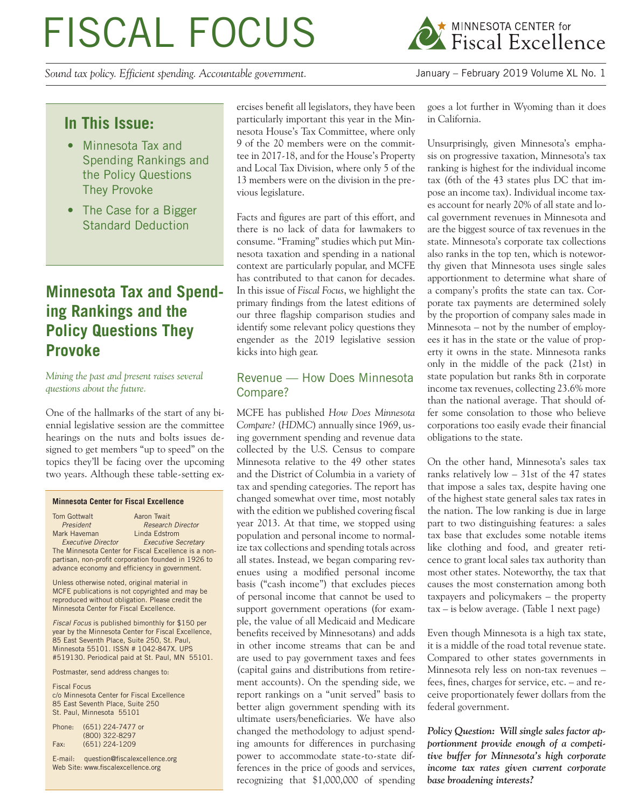# FISCAL FOCUS

*Sound tax policy. Efficient spending. Accountable government.* January – February 2019 Volume XL No. 1



# **In This Issue:**

- Minnesota Tax and Spending Rankings and the Policy Questions They Provoke
- The Case for a Bigger Standard Deduction

# **Minnesota Tax and Spending Rankings and the Policy Questions They Provoke**

*Mining the past and present raises several questions about the future.*

One of the hallmarks of the start of any biennial legislative session are the committee hearings on the nuts and bolts issues designed to get members "up to speed" on the topics they'll be facing over the upcoming two years. Although these table-setting ex-

#### **Minnesota Center for Fiscal Excellence**

| Tom Gottwalt                                        | Aaron Twait                                          |  |  |  |
|-----------------------------------------------------|------------------------------------------------------|--|--|--|
| President                                           | <b>Research Director</b>                             |  |  |  |
| Mark Haveman                                        | Linda Edstrom                                        |  |  |  |
| <b>Executive Director</b>                           | <b>Executive Secretary</b>                           |  |  |  |
|                                                     | The Minnesota Center for Fiscal Excellence is a non- |  |  |  |
| partisan, non-profit corporation founded in 1926 to |                                                      |  |  |  |
| advance economy and efficiency in government.       |                                                      |  |  |  |

Unless otherwise noted, original material in MCFE publications is not copyrighted and may be reproduced without obligation. Please credit the Minnesota Center for Fiscal Excellence.

*Fiscal Focus* is published bimonthly for \$150 per year by the Minnesota Center for Fiscal Excellence, 85 East Seventh Place, Suite 250, St. Paul, Minnesota 55101. ISSN # 1042-847X. UPS #519130. Periodical paid at St. Paul, MN 55101.

Postmaster, send address changes to:

Fiscal Focus c/o Minnesota Center for Fiscal Excellence 85 East Seventh Place, Suite 250 St. Paul, Minnesota 55101

| Phone: | (651) 224-7477 or |
|--------|-------------------|
|        | (800) 322-8297    |
| Fax:   | (651) 224-1209    |

E-mail: question@fiscalexcellence.org Web Site: www.fiscalexcellence.org

ercises benefit all legislators, they have been particularly important this year in the Minnesota House's Tax Committee, where only 9 of the 20 members were on the committee in 2017-18, and for the House's Property and Local Tax Division, where only 5 of the 13 members were on the division in the previous legislature.

Facts and figures are part of this effort, and there is no lack of data for lawmakers to consume. "Framing" studies which put Minnesota taxation and spending in a national context are particularly popular, and MCFE has contributed to that canon for decades. In this issue of *Fiscal Focus*, we highlight the primary findings from the latest editions of our three flagship comparison studies and identify some relevant policy questions they engender as the 2019 legislative session kicks into high gear.

## Revenue — How Does Minnesota Compare?

MCFE has published *How Does Minnesota Compare?* (*HDMC*) annually since 1969, using government spending and revenue data collected by the U.S. Census to compare Minnesota relative to the 49 other states and the District of Columbia in a variety of tax and spending categories. The report has changed somewhat over time, most notably with the edition we published covering fiscal year 2013. At that time, we stopped using population and personal income to normalize tax collections and spending totals across all states. Instead, we began comparing revenues using a modified personal income basis ("cash income") that excludes pieces of personal income that cannot be used to support government operations (for example, the value of all Medicaid and Medicare benefits received by Minnesotans) and adds in other income streams that can be and are used to pay government taxes and fees (capital gains and distributions from retirement accounts). On the spending side, we report rankings on a "unit served" basis to better align government spending with its ultimate users/beneficiaries. We have also changed the methodology to adjust spending amounts for differences in purchasing power to accommodate state-to-state differences in the price of goods and services, recognizing that \$1,000,000 of spending goes a lot further in Wyoming than it does in California.

Unsurprisingly, given Minnesota's emphasis on progressive taxation, Minnesota's tax ranking is highest for the individual income tax (6th of the 43 states plus DC that impose an income tax). Individual income taxes account for nearly 20% of all state and local government revenues in Minnesota and are the biggest source of tax revenues in the state. Minnesota's corporate tax collections also ranks in the top ten, which is noteworthy given that Minnesota uses single sales apportionment to determine what share of a company's profits the state can tax. Corporate tax payments are determined solely by the proportion of company sales made in Minnesota – not by the number of employees it has in the state or the value of property it owns in the state. Minnesota ranks only in the middle of the pack (21st) in state population but ranks 8th in corporate income tax revenues, collecting 23.6% more than the national average. That should offer some consolation to those who believe corporations too easily evade their financial obligations to the state.

On the other hand, Minnesota's sales tax ranks relatively low – 31st of the 47 states that impose a sales tax, despite having one of the highest state general sales tax rates in the nation. The low ranking is due in large part to two distinguishing features: a sales tax base that excludes some notable items like clothing and food, and greater reticence to grant local sales tax authority than most other states. Noteworthy, the tax that causes the most consternation among both taxpayers and policymakers – the property tax – is below average. (Table 1 next page)

Even though Minnesota is a high tax state, it is a middle of the road total revenue state. Compared to other states governments in Minnesota rely less on non-tax revenues – fees, fines, charges for service, etc. – and receive proportionately fewer dollars from the federal government.

*Policy Question: Will single sales factor apportionment provide enough of a competitive buffer for Minnesota's high corporate income tax rates given current corporate base broadening interests?*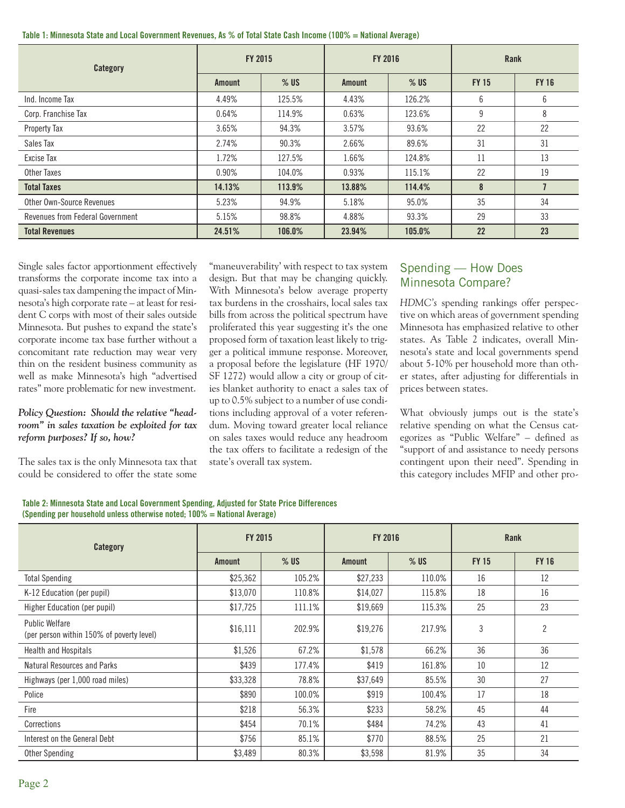|  |  |  |  |  |  |  |  |  | Table 1: Minnesota State and Local Government Revenues, As % of Total State Cash Income (100% = National Average) |  |
|--|--|--|--|--|--|--|--|--|-------------------------------------------------------------------------------------------------------------------|--|
|--|--|--|--|--|--|--|--|--|-------------------------------------------------------------------------------------------------------------------|--|

| Category                         | FY 2015       |        | <b>FY 2016</b> |        | Rank         |                |
|----------------------------------|---------------|--------|----------------|--------|--------------|----------------|
|                                  | <b>Amount</b> | $%$ US | <b>Amount</b>  | $%$ US | <b>FY 15</b> | <b>FY 16</b>   |
| Ind. Income Tax                  | 4.49%         | 125.5% | 4.43%          | 126.2% | 6            | 6              |
| Corp. Franchise Tax              | 0.64%         | 114.9% | 0.63%          | 123.6% | 9            | 8              |
| Property Tax                     | 3.65%         | 94.3%  | 3.57%          | 93.6%  | 22           | 22             |
| Sales Tax                        | 2.74%         | 90.3%  | 2.66%          | 89.6%  | 31           | 31             |
| Excise Tax                       | 1.72%         | 127.5% | 1.66%          | 124.8% | 11           | 13             |
| Other Taxes                      | 0.90%         | 104.0% | 0.93%          | 115.1% | 22           | 19             |
| <b>Total Taxes</b>               | 14.13%        | 113.9% | 13.88%         | 114.4% | 8            | $\overline{1}$ |
| Other Own-Source Revenues        | 5.23%         | 94.9%  | 5.18%          | 95.0%  | 35           | 34             |
| Revenues from Federal Government | 5.15%         | 98.8%  | 4.88%          | 93.3%  | 29           | 33             |
| <b>Total Revenues</b>            | 24.51%        | 106.0% | 23.94%         | 105.0% | 22           | 23             |

Single sales factor apportionment effectively transforms the corporate income tax into a quasi-sales tax dampening the impact of Minnesota's high corporate rate – at least for resident C corps with most of their sales outside Minnesota. But pushes to expand the state's corporate income tax base further without a concomitant rate reduction may wear very thin on the resident business community as well as make Minnesota's high "advertised rates" more problematic for new investment.

#### *Policy Question: Should the relative "headroom" in sales taxation be exploited for tax reform purposes? If so, how?*

The sales tax is the only Minnesota tax that could be considered to offer the state some "maneuverability' with respect to tax system design. But that may be changing quickly. With Minnesota's below average property tax burdens in the crosshairs, local sales tax bills from across the political spectrum have proliferated this year suggesting it's the one proposed form of taxation least likely to trigger a political immune response. Moreover, a proposal before the legislature (HF 1970/ SF 1272) would allow a city or group of cities blanket authority to enact a sales tax of up to 0.5% subject to a number of use conditions including approval of a voter referendum. Moving toward greater local reliance on sales taxes would reduce any headroom the tax offers to facilitate a redesign of the state's overall tax system.

## Spending — How Does Minnesota Compare?

*HDMC's* spending rankings offer perspective on which areas of government spending Minnesota has emphasized relative to other states. As Table 2 indicates, overall Minnesota's state and local governments spend about 5-10% per household more than other states, after adjusting for differentials in prices between states.

What obviously jumps out is the state's relative spending on what the Census categorizes as "Public Welfare" – defined as "support of and assistance to needy persons contingent upon their need". Spending in this category includes MFIP and other pro-

| Table 2: Minnesota State and Local Government Spending, Adjusted for State Price Differences |
|----------------------------------------------------------------------------------------------|
| (Spending per household unless otherwise noted: $100\%$ = National Average)                  |

| Category                                                           | FY 2015       |        | <b>FY 2016</b> |        | Rank         |                |  |
|--------------------------------------------------------------------|---------------|--------|----------------|--------|--------------|----------------|--|
|                                                                    | <b>Amount</b> | $%$ US | <b>Amount</b>  | $%$ US | <b>FY 15</b> | <b>FY 16</b>   |  |
| <b>Total Spending</b>                                              | \$25,362      | 105.2% | \$27,233       | 110.0% | 16           | 12             |  |
| K-12 Education (per pupil)                                         | \$13,070      | 110.8% | \$14,027       | 115.8% | 18           | 16             |  |
| Higher Education (per pupil)                                       | \$17,725      | 111.1% | \$19,669       | 115.3% | 25           | 23             |  |
| <b>Public Welfare</b><br>(per person within 150% of poverty level) | \$16,111      | 202.9% | \$19,276       | 217.9% | 3            | $\overline{2}$ |  |
| <b>Health and Hospitals</b>                                        | \$1,526       | 67.2%  | \$1,578        | 66.2%  | 36           | 36             |  |
| Natural Resources and Parks                                        | \$439         | 177.4% | \$419          | 161.8% | 10           | 12             |  |
| Highways (per 1,000 road miles)                                    | \$33,328      | 78.8%  | \$37,649       | 85.5%  | 30           | 27             |  |
| Police                                                             | \$890         | 100.0% | \$919          | 100.4% | 17           | 18             |  |
| Fire                                                               | \$218         | 56.3%  | \$233          | 58.2%  | 45           | 44             |  |
| Corrections                                                        | \$454         | 70.1%  | \$484          | 74.2%  | 43           | 41             |  |
| Interest on the General Debt                                       | \$756         | 85.1%  | \$770          | 88.5%  | 25           | 21             |  |
| Other Spending                                                     | \$3,489       | 80.3%  | \$3,598        | 81.9%  | 35           | 34             |  |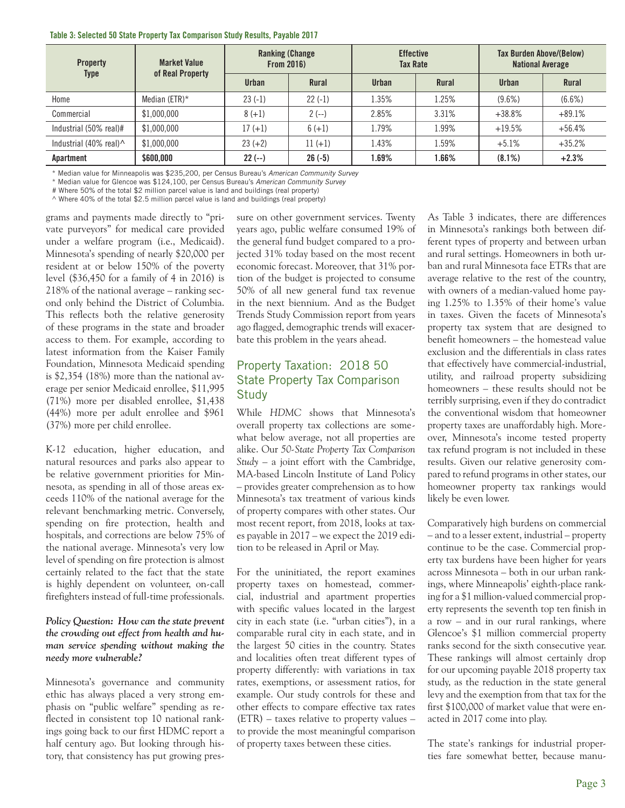| <b>Property</b>                           | <b>Market Value</b><br>of Real Property | <b>Ranking (Change)</b><br><b>From 2016)</b> |           | <b>Effective</b><br><b>Tax Rate</b> |              | <b>Tax Burden Above/(Below)</b><br><b>National Average</b> |              |
|-------------------------------------------|-----------------------------------------|----------------------------------------------|-----------|-------------------------------------|--------------|------------------------------------------------------------|--------------|
| Type                                      |                                         | <b>Urban</b>                                 | Rural     | Urban                               | <b>Rural</b> | Urban                                                      | <b>Rural</b> |
| Home                                      | Median (ETR) $*$                        | $23(-1)$                                     | $22(-1)$  | 1.35%                               | 1.25%        | $(9.6\%)$                                                  | $(6.6\%)$    |
| Commercial                                | \$1.000.000                             | $8 (+1)$                                     | $2(-)$    | 2.85%                               | 3.31%        | $+38.8%$                                                   | $+89.1%$     |
| Industrial (50% real)#                    | \$1,000,000                             | $17 (+1)$                                    | $6 (+1)$  | L.79%                               | 1.99%        | $+19.5%$                                                   | $+56.4%$     |
| Industrial $(40\% \text{ real})^{\wedge}$ | \$1,000,000                             | $23 (+2)$                                    | $11 (+1)$ | 1.43%                               | 1.59%        | $+5.1%$                                                    | $+35.2%$     |
| Apartment                                 | \$600,000                               | $22(-)$                                      | $26(-5)$  | 1.69%                               | .66%         | $(8.1\%)$                                                  | $+2.3%$      |

#### **Table 3: Selected 50 State Property Tax Comparison Study Results, Payable 2017**

\* Median value for Minneapolis was \$235,200, per Census Bureau's *American Community Survey*

\* Median value for Glencoe was \$124,100, per Census Bureau's *American Community Survey*

# Where 50% of the total \$2 million parcel value is land and buildings (real property)

 $\land$  Where 40% of the total \$2.5 million parcel value is land and buildings (real property)

grams and payments made directly to "private purveyors" for medical care provided under a welfare program (i.e., Medicaid). Minnesota's spending of nearly \$20,000 per resident at or below 150% of the poverty level (\$36,450 for a family of 4 in 2016) is 218% of the national average – ranking second only behind the District of Columbia. This reflects both the relative generosity of these programs in the state and broader access to them. For example, according to latest information from the Kaiser Family Foundation, Minnesota Medicaid spending is \$2,354 (18%) more than the national average per senior Medicaid enrollee, \$11,995 (71%) more per disabled enrollee, \$1,438 (44%) more per adult enrollee and \$961 (37%) more per child enrollee.

K-12 education, higher education, and natural resources and parks also appear to be relative government priorities for Minnesota, as spending in all of those areas exceeds 110% of the national average for the relevant benchmarking metric. Conversely, spending on fire protection, health and hospitals, and corrections are below 75% of the national average. Minnesota's very low level of spending on fire protection is almost certainly related to the fact that the state is highly dependent on volunteer, on-call firefighters instead of full-time professionals.

#### *Policy Question: How can the state prevent the crowding out effect from health and human service spending without making the needy more vulnerable?*

Minnesota's governance and community ethic has always placed a very strong emphasis on "public welfare" spending as reflected in consistent top 10 national rankings going back to our first HDMC report a half century ago. But looking through history, that consistency has put growing pressure on other government services. Twenty years ago, public welfare consumed 19% of the general fund budget compared to a projected 31% today based on the most recent economic forecast. Moreover, that 31% portion of the budget is projected to consume 50% of all new general fund tax revenue in the next biennium. And as the Budget Trends Study Commission report from years ago flagged, demographic trends will exacerbate this problem in the years ahead.

## Property Taxation: 2018 50 State Property Tax Comparison **Study**

While *HDMC* shows that Minnesota's overall property tax collections are somewhat below average, not all properties are alike. Our *50-State Property Tax Comparison Study* – a joint effort with the Cambridge, MA-based Lincoln Institute of Land Policy – provides greater comprehension as to how Minnesota's tax treatment of various kinds of property compares with other states. Our most recent report, from 2018, looks at taxes payable in 2017 – we expect the 2019 edition to be released in April or May.

For the uninitiated, the report examines property taxes on homestead, commercial, industrial and apartment properties with specific values located in the largest city in each state (i.e. "urban cities"), in a comparable rural city in each state, and in the largest 50 cities in the country. States and localities often treat different types of property differently: with variations in tax rates, exemptions, or assessment ratios, for example. Our study controls for these and other effects to compare effective tax rates (ETR) – taxes relative to property values – to provide the most meaningful comparison of property taxes between these cities.

As Table 3 indicates, there are differences in Minnesota's rankings both between different types of property and between urban and rural settings. Homeowners in both urban and rural Minnesota face ETRs that are average relative to the rest of the country, with owners of a median-valued home paying 1.25% to 1.35% of their home's value in taxes. Given the facets of Minnesota's property tax system that are designed to benefit homeowners – the homestead value exclusion and the differentials in class rates that effectively have commercial-industrial, utility, and railroad property subsidizing homeowners – these results should not be terribly surprising, even if they do contradict the conventional wisdom that homeowner property taxes are unaffordably high. Moreover, Minnesota's income tested property tax refund program is not included in these results. Given our relative generosity compared to refund programs in other states, our homeowner property tax rankings would likely be even lower.

Comparatively high burdens on commercial – and to a lesser extent, industrial – property continue to be the case. Commercial property tax burdens have been higher for years across Minnesota – both in our urban rankings, where Minneapolis' eighth-place ranking for a \$1 million-valued commercial property represents the seventh top ten finish in a row – and in our rural rankings, where Glencoe's \$1 million commercial property ranks second for the sixth consecutive year. These rankings will almost certainly drop for our upcoming payable 2018 property tax study, as the reduction in the state general levy and the exemption from that tax for the first \$100,000 of market value that were enacted in 2017 come into play.

The state's rankings for industrial properties fare somewhat better, because manu-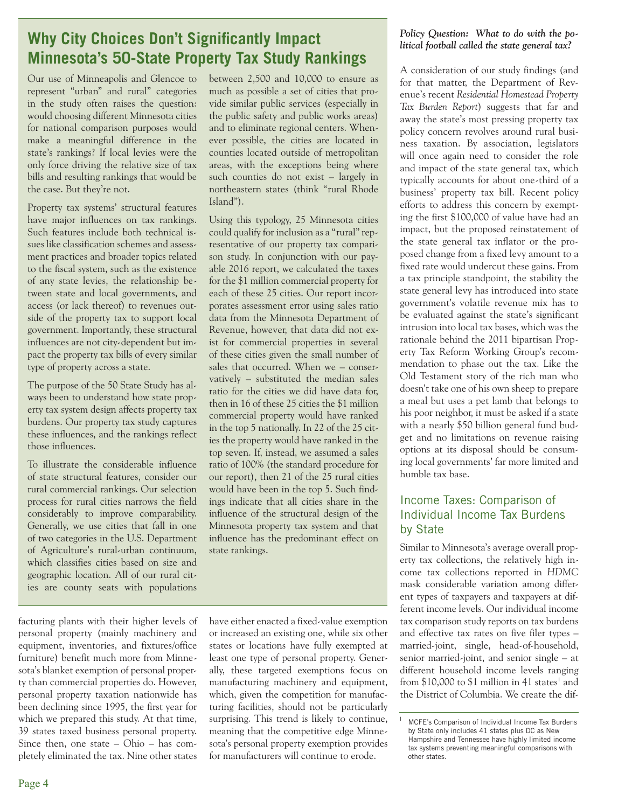# **Why City Choices Don't Significantly Impact Minnesota's 50-State Property Tax Study Rankings**

Our use of Minneapolis and Glencoe to represent "urban" and rural" categories in the study often raises the question: would choosing different Minnesota cities for national comparison purposes would make a meaningful difference in the state's rankings? If local levies were the only force driving the relative size of tax bills and resulting rankings that would be the case. But they're not.

Property tax systems' structural features have major influences on tax rankings. Such features include both technical issues like classification schemes and assessment practices and broader topics related to the fiscal system, such as the existence of any state levies, the relationship between state and local governments, and access (or lack thereof) to revenues outside of the property tax to support local government. Importantly, these structural influences are not city-dependent but impact the property tax bills of every similar type of property across a state.

The purpose of the 50 State Study has always been to understand how state property tax system design affects property tax burdens. Our property tax study captures these influences, and the rankings reflect those influences.

To illustrate the considerable influence of state structural features, consider our rural commercial rankings. Our selection process for rural cities narrows the field considerably to improve comparability. Generally, we use cities that fall in one of two categories in the U.S. Department of Agriculture's rural-urban continuum, which classifies cities based on size and geographic location. All of our rural cities are county seats with populations

facturing plants with their higher levels of personal property (mainly machinery and equipment, inventories, and fixtures/office furniture) benefit much more from Minnesota's blanket exemption of personal property than commercial properties do. However, personal property taxation nationwide has been declining since 1995, the first year for which we prepared this study. At that time, 39 states taxed business personal property. Since then, one state – Ohio – has completely eliminated the tax. Nine other states

between 2,500 and 10,000 to ensure as much as possible a set of cities that provide similar public services (especially in the public safety and public works areas) and to eliminate regional centers. Whenever possible, the cities are located in counties located outside of metropolitan areas, with the exceptions being where such counties do not exist – largely in northeastern states (think "rural Rhode Island").

Using this typology, 25 Minnesota cities could qualify for inclusion as a "rural" representative of our property tax comparison study. In conjunction with our payable 2016 report, we calculated the taxes for the \$1 million commercial property for each of these 25 cities. Our report incorporates assessment error using sales ratio data from the Minnesota Department of Revenue, however, that data did not exist for commercial properties in several of these cities given the small number of sales that occurred. When we – conservatively – substituted the median sales ratio for the cities we did have data for, then in 16 of these 25 cities the \$1 million commercial property would have ranked in the top 5 nationally. In 22 of the 25 cities the property would have ranked in the top seven. If, instead, we assumed a sales ratio of 100% (the standard procedure for our report), then 21 of the 25 rural cities would have been in the top 5. Such findings indicate that all cities share in the influence of the structural design of the Minnesota property tax system and that influence has the predominant effect on state rankings.

have either enacted a fixed-value exemption or increased an existing one, while six other states or locations have fully exempted at least one type of personal property. Generally, these targeted exemptions focus on manufacturing machinery and equipment, which, given the competition for manufacturing facilities, should not be particularly surprising. This trend is likely to continue, meaning that the competitive edge Minnesota's personal property exemption provides for manufacturers will continue to erode.

### *Policy Question: What to do with the political football called the state general tax?*

A consideration of our study findings (and for that matter, the Department of Revenue's recent *Residential Homestead Property Tax Burden Report*) suggests that far and away the state's most pressing property tax policy concern revolves around rural business taxation. By association, legislators will once again need to consider the role and impact of the state general tax, which typically accounts for about one-third of a business' property tax bill. Recent policy efforts to address this concern by exempting the first \$100,000 of value have had an impact, but the proposed reinstatement of the state general tax inflator or the proposed change from a fixed levy amount to a fixed rate would undercut these gains. From a tax principle standpoint, the stability the state general levy has introduced into state government's volatile revenue mix has to be evaluated against the state's significant intrusion into local tax bases, which was the rationale behind the 2011 bipartisan Property Tax Reform Working Group's recommendation to phase out the tax. Like the Old Testament story of the rich man who doesn't take one of his own sheep to prepare a meal but uses a pet lamb that belongs to his poor neighbor, it must be asked if a state with a nearly \$50 billion general fund budget and no limitations on revenue raising options at its disposal should be consuming local governments' far more limited and humble tax base.

# Income Taxes: Comparison of Individual Income Tax Burdens by State

Similar to Minnesota's average overall property tax collections, the relatively high income tax collections reported in *HDMC*  mask considerable variation among different types of taxpayers and taxpayers at different income levels. Our individual income tax comparison study reports on tax burdens and effective tax rates on five filer types – married-joint, single, head-of-household, senior married-joint, and senior single – at different household income levels ranging from \$10,000 to \$1 million in 41 states<sup>1</sup> and the District of Columbia. We create the dif-

<sup>1</sup> MCFE's Comparison of Individual Income Tax Burdens by State only includes 41 states plus DC as New Hampshire and Tennessee have highly limited income tax systems preventing meaningful comparisons with other states.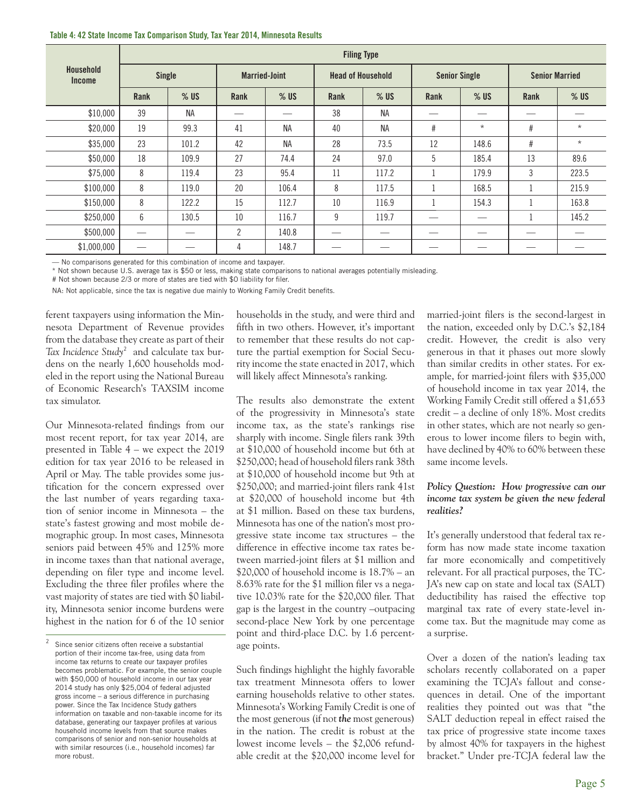| Table 4: 42 State Income Tax Comparison Study, Tax Year 2014, Minnesota Results |  |  |  |  |  |  |  |
|---------------------------------------------------------------------------------|--|--|--|--|--|--|--|
|---------------------------------------------------------------------------------|--|--|--|--|--|--|--|

|                                   | <b>Filing Type</b> |           |                      |           |                          |           |                      |         |                       |          |  |
|-----------------------------------|--------------------|-----------|----------------------|-----------|--------------------------|-----------|----------------------|---------|-----------------------|----------|--|
| <b>Household</b><br><b>Income</b> | Single             |           | <b>Married-Joint</b> |           | <b>Head of Household</b> |           | <b>Senior Single</b> |         | <b>Senior Married</b> |          |  |
|                                   | Rank               | $%$ US    | Rank                 | $%$ US    | Rank                     | $%$ US    | Rank                 | $%$ US  | Rank                  | $%$ US   |  |
| \$10,000                          | 39                 | <b>NA</b> |                      | __        | 38                       | <b>NA</b> |                      | __      | __                    |          |  |
| \$20,000                          | 19                 | 99.3      | 41                   | <b>NA</b> | 40                       | <b>NA</b> | #                    | $\star$ | #                     | $\star$  |  |
| \$35,000                          | 23                 | 101.2     | 42                   | <b>NA</b> | 28                       | 73.5      | 12                   | 148.6   | #                     | $^\star$ |  |
| \$50,000                          | 18                 | 109.9     | 27                   | 74.4      | 24                       | 97.0      | 5                    | 185.4   | 13                    | 89.6     |  |
| \$75,000                          | 8                  | 119.4     | 23                   | 95.4      | 11                       | 117.2     |                      | 179.9   | 3                     | 223.5    |  |
| \$100,000                         | 8                  | 119.0     | 20                   | 106.4     | 8                        | 117.5     |                      | 168.5   |                       | 215.9    |  |
| \$150,000                         | 8                  | 122.2     | 15                   | 112.7     | 10                       | 116.9     |                      | 154.3   |                       | 163.8    |  |
| \$250,000                         | 6                  | 130.5     | 10                   | 116.7     | 9                        | 119.7     |                      | __      |                       | 145.2    |  |
| \$500,000                         |                    | --        | $\overline{2}$       | 140.8     |                          |           |                      |         |                       |          |  |
| \$1,000,000                       |                    |           | 4                    | 148.7     |                          |           |                      |         |                       |          |  |

— No comparisons generated for this combination of income and taxpayer.

\* Not shown because U.S. average tax is \$50 or less, making state comparisons to national averages potentially misleading.

# Not shown because 2/3 or more of states are tied with \$0 liability for filer.

NA: Not applicable, since the tax is negative due mainly to Working Family Credit benefits.

ferent taxpayers using information the Minnesota Department of Revenue provides from the database they create as part of their Tax Incidence Study<sup>2</sup> and calculate tax burdens on the nearly 1,600 households modeled in the report using the National Bureau of Economic Research's TAXSIM income tax simulator.

Our Minnesota-related findings from our most recent report, for tax year 2014, are presented in Table 4 – we expect the 2019 edition for tax year 2016 to be released in April or May. The table provides some justification for the concern expressed over the last number of years regarding taxation of senior income in Minnesota – the state's fastest growing and most mobile demographic group. In most cases, Minnesota seniors paid between 45% and 125% more in income taxes than that national average, depending on filer type and income level. Excluding the three filer profiles where the vast majority of states are tied with \$0 liability, Minnesota senior income burdens were highest in the nation for 6 of the 10 senior households in the study, and were third and fifth in two others. However, it's important to remember that these results do not capture the partial exemption for Social Security income the state enacted in 2017, which will likely affect Minnesota's ranking.

The results also demonstrate the extent of the progressivity in Minnesota's state income tax, as the state's rankings rise sharply with income. Single filers rank 39th at \$10,000 of household income but 6th at \$250,000; head of household filers rank 38th at \$10,000 of household income but 9th at \$250,000; and married-joint filers rank 41st at \$20,000 of household income but 4th at \$1 million. Based on these tax burdens, Minnesota has one of the nation's most progressive state income tax structures – the difference in effective income tax rates between married-joint filers at \$1 million and \$20,000 of household income is 18.7% – an 8.63% rate for the \$1 million filer vs a negative 10.03% rate for the \$20,000 filer. That gap is the largest in the country –outpacing second-place New York by one percentage point and third-place D.C. by 1.6 percentage points.

Such findings highlight the highly favorable tax treatment Minnesota offers to lower earning households relative to other states. Minnesota's Working Family Credit is one of the most generous (if not *the* most generous) in the nation. The credit is robust at the lowest income levels – the \$2,006 refundable credit at the \$20,000 income level for

married-joint filers is the second-largest in the nation, exceeded only by D.C.'s \$2,184 credit. However, the credit is also very generous in that it phases out more slowly than similar credits in other states. For example, for married-joint filers with \$35,000 of household income in tax year 2014, the Working Family Credit still offered a \$1,653 credit – a decline of only 18%. Most credits in other states, which are not nearly so generous to lower income filers to begin with, have declined by 40% to 60% between these same income levels.

#### *Policy Question: How progressive can our income tax system be given the new federal realities?*

It's generally understood that federal tax reform has now made state income taxation far more economically and competitively relevant. For all practical purposes, the TC-JA's new cap on state and local tax (SALT) deductibility has raised the effective top marginal tax rate of every state-level income tax. But the magnitude may come as a surprise.

Over a dozen of the nation's leading tax scholars recently collaborated on a paper examining the TCJA's fallout and consequences in detail. One of the important realities they pointed out was that "the SALT deduction repeal in effect raised the tax price of progressive state income taxes by almost 40% for taxpayers in the highest bracket." Under pre-TCJA federal law the

 $2\degree$  Since senior citizens often receive a substantial portion of their income tax-free, using data from income tax returns to create our taxpayer profiles becomes problematic. For example, the senior couple with \$50,000 of household income in our tax year 2014 study has only \$25,004 of federal adjusted gross income – a serious difference in purchasing power. Since the Tax Incidence Study gathers information on taxable and non-taxable income for its database, generating our taxpayer profiles at various household income levels from that source makes comparisons of senior and non-senior households at with similar resources (i.e., household incomes) far more robust.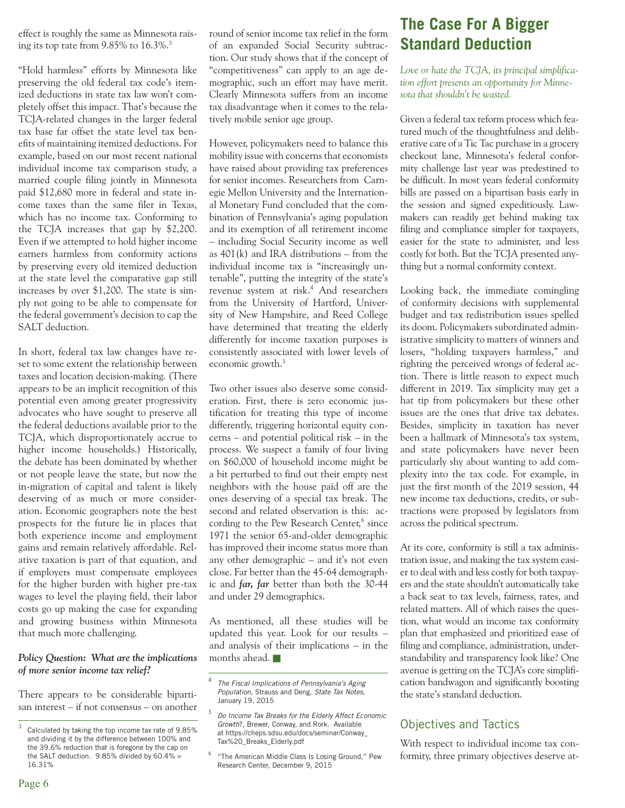effect is roughly the same as Minnesota raising its top rate from 9.85% to 16.3%.<sup>3</sup>

"Hold harmless" efforts by Minnesota like preserving the old federal tax code's itemized deductions in state tax law won't completely offset this impact. That's because the TCJA-related changes in the larger federal tax base far offset the state level tax benefits of maintaining itemized deductions. For example, based on our most recent national individual income tax comparison study, a married couple filing jointly in Minnesota paid \$12,680 more in federal and state income taxes than the same filer in Texas, which has no income tax. Conforming to the TCJA increases that gap by \$2,200. Even if we attempted to hold higher income earners harmless from conformity actions by preserving every old itemized deduction at the state level the comparative gap still increases by over \$1,200. The state is simply not going to be able to compensate for the federal government's decision to cap the SALT deduction.

In short, federal tax law changes have reset to some extent the relationship between taxes and location decision-making. (There appears to be an implicit recognition of this potential even among greater progressivity advocates who have sought to preserve all the federal deductions available prior to the TCJA, which disproportionately accrue to higher income households.) Historically, the debate has been dominated by whether or not people leave the state, but now the in-migration of capital and talent is likely deserving of as much or more consideration. Economic geographers note the best prospects for the future lie in places that both experience income and employment gains and remain relatively affordable. Relative taxation is part of that equation, and if employers must compensate employees for the higher burden with higher pre-tax wages to level the playing field, their labor costs go up making the case for expanding and growing business within Minnesota that much more challenging.

#### *Policy Question: What are the implications of more senior income tax relief?*

There appears to be considerable bipartisan interest – if not consensus – on another round of senior income tax relief in the form of an expanded Social Security subtraction. Our study shows that if the concept of "competitiveness" can apply to an age demographic, such an effort may have merit. Clearly Minnesota suffers from an income tax disadvantage when it comes to the relatively mobile senior age group.

However, policymakers need to balance this mobility issue with concerns that economists have raised about providing tax preferences for senior incomes. Researchers from Carnegie Mellon University and the International Monetary Fund concluded that the combination of Pennsylvania's aging population and its exemption of all retirement income – including Social Security income as well as 401(k) and IRA distributions – from the individual income tax is "increasingly untenable", putting the integrity of the state's revenue system at risk.<sup>4</sup> And researchers from the University of Hartford, University of New Hampshire, and Reed College have determined that treating the elderly differently for income taxation purposes is consistently associated with lower levels of economic growth.<sup>5</sup>

Two other issues also deserve some consideration. First, there is zero economic justification for treating this type of income differently, triggering horizontal equity concerns – and potential political risk – in the process. We suspect a family of four living on \$60,000 of household income might be a bit perturbed to find out their empty nest neighbors with the house paid off are the ones deserving of a special tax break. The second and related observation is this: according to the Pew Research Center,<sup>6</sup> since 1971 the senior 65-and-older demographic has improved their income status more than any other demographic – and it's not even close. Far better than the 45-64 demographic and *far, far* better than both the 30-44 and under 29 demographics.

As mentioned, all these studies will be updated this year. Look for our results – and analysis of their implications – in the months ahead.

# **The Case For A Bigger Standard Deduction**

*Love or hate the TCJA, its principal simplification effort presents an opportunity for Minnesota that shouldn't be wasted.*

Given a federal tax reform process which featured much of the thoughtfulness and deliberative care of a Tic Tac purchase in a grocery checkout lane, Minnesota's federal conformity challenge last year was predestined to be difficult. In most years federal conformity bills are passed on a bipartisan basis early in the session and signed expeditiously. Lawmakers can readily get behind making tax filing and compliance simpler for taxpayers, easier for the state to administer, and less costly for both. But the TCJA presented anything but a normal conformity context.

Looking back, the immediate comingling of conformity decisions with supplemental budget and tax redistribution issues spelled its doom. Policymakers subordinated administrative simplicity to matters of winners and losers, "holding taxpayers harmless," and righting the perceived wrongs of federal action. There is little reason to expect much different in 2019. Tax simplicity may get a hat tip from policymakers but these other issues are the ones that drive tax debates. Besides, simplicity in taxation has never been a hallmark of Minnesota's tax system, and state policymakers have never been particularly shy about wanting to add complexity into the tax code. For example, in just the first month of the 2019 session, 44 new income tax deductions, credits, or subtractions were proposed by legislators from across the political spectrum.

At its core, conformity is still a tax administration issue, and making the tax system easier to deal with and less costly for both taxpayers and the state shouldn't automatically take a back seat to tax levels, fairness, rates, and related matters. All of which raises the question, what would an income tax conformity plan that emphasized and prioritized ease of filing and compliance, administration, understandability and transparency look like? One avenue is getting on the TCJA's core simplification bandwagon and significantly boosting the state's standard deduction.

# Objectives and Tactics

With respect to individual income tax conformity, three primary objectives deserve at-

Calculated by taking the top income tax rate of 9.85% and dividing it by the difference between 100% and the 39.6% reduction that is foregone by the cap on the SALT deduction.  $9.85\%$  divided by  $60.4\%$  = 16.31%

<sup>4</sup> *The Fiscal Implications of Pennsylvania's Aging Population*, Strauss and Deng, *State Tax Notes*, January 19, 2015

<sup>5</sup> *Do Income Tax Breaks for the Elderly Affect Economic Growth*?, Brewer, Conway, and Rork. Available at https://cheps.sdsu.edu/docs/seminar/Conway\_ Tax%20\_Breaks\_Elderly.pdf

<sup>6</sup> "The American Middle Class Is Losing Ground," Pew Research Center, December 9, 2015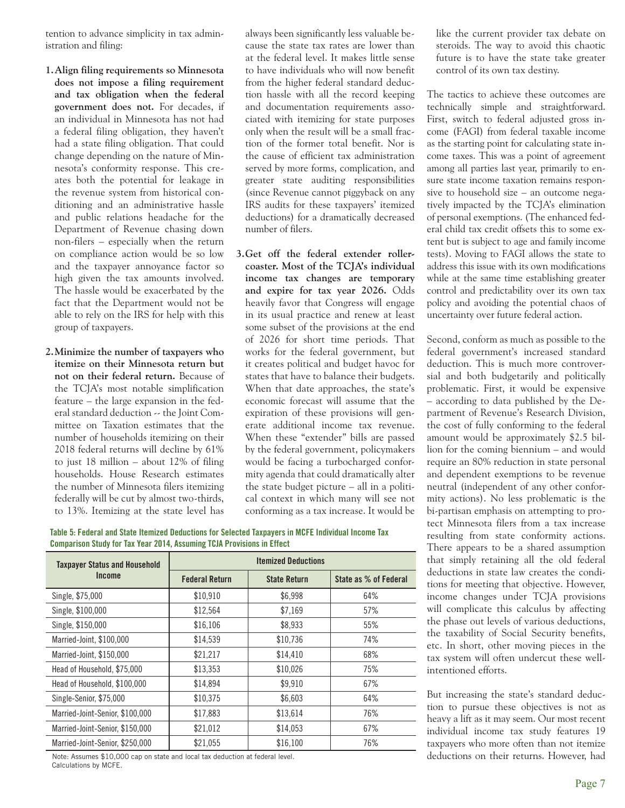tention to advance simplicity in tax administration and filing:

- **1. Align filing requirements so Minnesota does not impose a filing requirement and tax obligation when the federal government does not.** For decades, if an individual in Minnesota has not had a federal filing obligation, they haven't had a state filing obligation. That could change depending on the nature of Minnesota's conformity response. This creates both the potential for leakage in the revenue system from historical conditioning and an administrative hassle and public relations headache for the Department of Revenue chasing down non-filers – especially when the return on compliance action would be so low and the taxpayer annoyance factor so high given the tax amounts involved. The hassle would be exacerbated by the fact that the Department would not be able to rely on the IRS for help with this group of taxpayers.
- **2. Minimize the number of taxpayers who itemize on their Minnesota return but not on their federal return.** Because of the TCJA's most notable simplification feature – the large expansion in the federal standard deduction -- the Joint Committee on Taxation estimates that the number of households itemizing on their 2018 federal returns will decline by 61% to just 18 million – about 12% of filing households. House Research estimates the number of Minnesota filers itemizing federally will be cut by almost two-thirds, to 13%. Itemizing at the state level has

always been significantly less valuable because the state tax rates are lower than at the federal level. It makes little sense to have individuals who will now benefit from the higher federal standard deduction hassle with all the record keeping and documentation requirements associated with itemizing for state purposes only when the result will be a small fraction of the former total benefit. Nor is the cause of efficient tax administration served by more forms, complication, and greater state auditing responsibilities (since Revenue cannot piggyback on any IRS audits for these taxpayers' itemized deductions) for a dramatically decreased number of filers.

**3. Get off the federal extender rollercoaster. Most of the TCJA's individual income tax changes are temporary and expire for tax year 2026.** Odds heavily favor that Congress will engage in its usual practice and renew at least some subset of the provisions at the end of 2026 for short time periods. That works for the federal government, but it creates political and budget havoc for states that have to balance their budgets. When that date approaches, the state's economic forecast will assume that the expiration of these provisions will generate additional income tax revenue. When these "extender" bills are passed by the federal government, policymakers would be facing a turbocharged conformity agenda that could dramatically alter the state budget picture – all in a political context in which many will see not conforming as a tax increase. It would be

like the current provider tax debate on steroids. The way to avoid this chaotic future is to have the state take greater control of its own tax destiny.

The tactics to achieve these outcomes are technically simple and straightforward. First, switch to federal adjusted gross income (FAGI) from federal taxable income as the starting point for calculating state income taxes. This was a point of agreement among all parties last year, primarily to ensure state income taxation remains responsive to household size – an outcome negatively impacted by the TCJA's elimination of personal exemptions. (The enhanced federal child tax credit offsets this to some extent but is subject to age and family income tests). Moving to FAGI allows the state to address this issue with its own modifications while at the same time establishing greater control and predictability over its own tax policy and avoiding the potential chaos of uncertainty over future federal action.

Second, conform as much as possible to the federal government's increased standard deduction. This is much more controversial and both budgetarily and politically problematic. First, it would be expensive – according to data published by the Department of Revenue's Research Division, the cost of fully conforming to the federal amount would be approximately \$2.5 billion for the coming biennium – and would require an 80% reduction in state personal and dependent exemptions to be revenue neutral (independent of any other conformity actions). No less problematic is the bi-partisan emphasis on attempting to protect Minnesota filers from a tax increase resulting from state conformity actions. There appears to be a shared assumption that simply retaining all the old federal deductions in state law creates the conditions for meeting that objective. However, income changes under TCJA provisions will complicate this calculus by affecting the phase out levels of various deductions, the taxability of Social Security benefits, etc. In short, other moving pieces in the tax system will often undercut these wellintentioned efforts.

But increasing the state's standard deduction to pursue these objectives is not as heavy a lift as it may seem. Our most recent individual income tax study features 19 taxpayers who more often than not itemize deductions on their returns. However, had

| Table 5: Federal and State Itemized Deductions for Selected Taxpayers in MCFE Individual Income Tax |  |  |
|-----------------------------------------------------------------------------------------------------|--|--|
| Comparison Study for Tax Year 2014, Assuming TCJA Provisions in Effect                              |  |  |

| <b>Taxpayer Status and Household</b> | <b>Itemized Deductions</b> |                     |                       |  |  |  |
|--------------------------------------|----------------------------|---------------------|-----------------------|--|--|--|
| Income                               | <b>Federal Return</b>      | <b>State Return</b> | State as % of Federal |  |  |  |
| Single, \$75,000                     | \$10,910                   | \$6,998             | 64%                   |  |  |  |
| Single, \$100,000                    | \$12,564                   | \$7,169             | 57%                   |  |  |  |
| Single, \$150,000                    | \$16,106                   | \$8,933             | 55%                   |  |  |  |
| Married-Joint, \$100,000             | \$14,539                   | \$10,736            | 74%                   |  |  |  |
| Married-Joint, \$150,000             | \$21,217                   | \$14,410            | 68%                   |  |  |  |
| Head of Household, \$75,000          | \$13,353                   | \$10,026            | 75%                   |  |  |  |
| Head of Household, \$100,000         | \$14,894                   | \$9,910             | 67%                   |  |  |  |
| Single-Senior, \$75,000              | \$10.375                   | \$6,603             | 64%                   |  |  |  |
| Married-Joint-Senior, \$100,000      | \$17,883                   | \$13,614            | 76%                   |  |  |  |
| Married-Joint-Senior, \$150,000      | \$21,012                   | \$14,053            | 67%                   |  |  |  |
| Married-Joint-Senior, \$250,000      | \$21.055                   | \$16,100            | 76%                   |  |  |  |

Note: Assumes \$10,000 cap on state and local tax deduction at federal level. Calculations by MCFE.